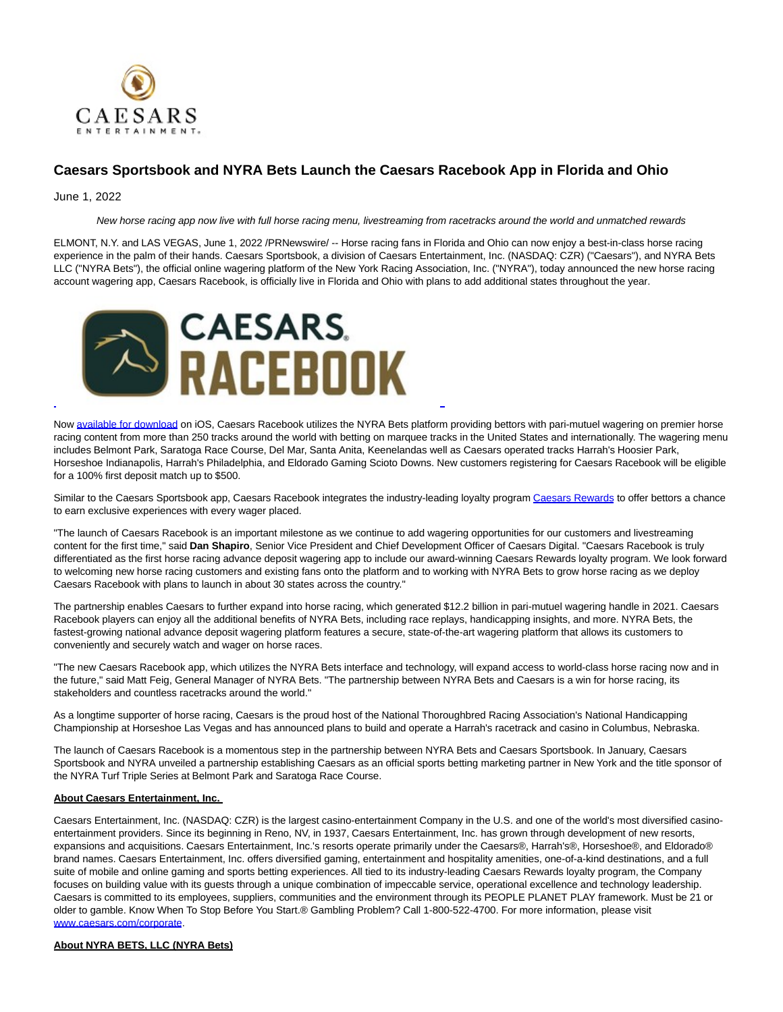

## **Caesars Sportsbook and NYRA Bets Launch the Caesars Racebook App in Florida and Ohio**

## June 1, 2022

New horse racing app now live with full horse racing menu, livestreaming from racetracks around the world and unmatched rewards

ELMONT, N.Y. and LAS VEGAS, June 1, 2022 /PRNewswire/ -- Horse racing fans in Florida and Ohio can now enjoy a best-in-class horse racing experience in the palm of their hands. Caesars Sportsbook, a division of Caesars Entertainment, Inc. (NASDAQ: CZR) ("Caesars"), and NYRA Bets LLC ("NYRA Bets"), the official online wagering platform of the New York Racing Association, Inc. ("NYRA"), today announced the new horse racing account wagering app, Caesars Racebook, is officially live in Florida and Ohio with plans to add additional states throughout the year.



Now [available for download o](https://c212.net/c/link/?t=0&l=en&o=3554008-1&h=1095049031&u=https%3A%2F%2Fwww.caesars.com%2Fsportsbook-and-casino%2Fracebook&a=available+for+download)n iOS, Caesars Racebook utilizes the NYRA Bets platform providing bettors with pari-mutuel wagering on premier horse racing content from more than 250 tracks around the world with betting on marquee tracks in the United States and internationally. The wagering menu includes Belmont Park, Saratoga Race Course, Del Mar, Santa Anita, Keenelandas well as Caesars operated tracks Harrah's Hoosier Park, Horseshoe Indianapolis, Harrah's Philadelphia, and Eldorado Gaming Scioto Downs. New customers registering for Caesars Racebook will be eligible for a 100% first deposit match up to \$500.

 $\overline{a}$ 

Similar to the Caesars Sportsbook app, Caesars Racebook integrates the industry-leading loyalty progra[m Caesars Rewards t](https://c212.net/c/link/?t=0&l=en&o=3554008-1&h=3787365026&u=https%3A%2F%2Fwww.caesars.com%2Fmyrewards&a=Caesars+Rewards)o offer bettors a chance to earn exclusive experiences with every wager placed.

"The launch of Caesars Racebook is an important milestone as we continue to add wagering opportunities for our customers and livestreaming content for the first time," said **Dan Shapiro**, Senior Vice President and Chief Development Officer of Caesars Digital. "Caesars Racebook is truly differentiated as the first horse racing advance deposit wagering app to include our award-winning Caesars Rewards loyalty program. We look forward to welcoming new horse racing customers and existing fans onto the platform and to working with NYRA Bets to grow horse racing as we deploy Caesars Racebook with plans to launch in about 30 states across the country."

The partnership enables Caesars to further expand into horse racing, which generated \$12.2 billion in pari-mutuel wagering handle in 2021. Caesars Racebook players can enjoy all the additional benefits of NYRA Bets, including race replays, handicapping insights, and more. NYRA Bets, the fastest-growing national advance deposit wagering platform features a secure, state-of-the-art wagering platform that allows its customers to conveniently and securely watch and wager on horse races.

"The new Caesars Racebook app, which utilizes the NYRA Bets interface and technology, will expand access to world-class horse racing now and in the future," said Matt Feig, General Manager of NYRA Bets. "The partnership between NYRA Bets and Caesars is a win for horse racing, its stakeholders and countless racetracks around the world."

As a longtime supporter of horse racing, Caesars is the proud host of the National Thoroughbred Racing Association's National Handicapping Championship at Horseshoe Las Vegas and has announced plans to build and operate a Harrah's racetrack and casino in Columbus, Nebraska.

The launch of Caesars Racebook is a momentous step in the partnership between NYRA Bets and Caesars Sportsbook. In January, Caesars Sportsbook and NYRA unveiled a partnership establishing Caesars as an official sports betting marketing partner in New York and the title sponsor of the NYRA Turf Triple Series at Belmont Park and Saratoga Race Course.

## **About Caesars Entertainment, Inc.**

Caesars Entertainment, Inc. (NASDAQ: CZR) is the largest casino-entertainment Company in the U.S. and one of the world's most diversified casinoentertainment providers. Since its beginning in Reno, NV, in 1937, Caesars Entertainment, Inc. has grown through development of new resorts, expansions and acquisitions. Caesars Entertainment, Inc.'s resorts operate primarily under the Caesars®, Harrah's®, Horseshoe®, and Eldorado® brand names. Caesars Entertainment, Inc. offers diversified gaming, entertainment and hospitality amenities, one-of-a-kind destinations, and a full suite of mobile and online gaming and sports betting experiences. All tied to its industry-leading Caesars Rewards loyalty program, the Company focuses on building value with its guests through a unique combination of impeccable service, operational excellence and technology leadership. Caesars is committed to its employees, suppliers, communities and the environment through its PEOPLE PLANET PLAY framework. Must be 21 or older to gamble. Know When To Stop Before You Start.® Gambling Problem? Call 1-800-522-4700. For more information, please visit [www.caesars.com/corporate.](https://c212.net/c/link/?t=0&l=en&o=3554008-1&h=1018464170&u=http%3A%2F%2Fwww.caesars.com%2Fcorporate&a=www.caesars.com%2Fcorporate)

## **About NYRA BETS, LLC (NYRA Bets)**